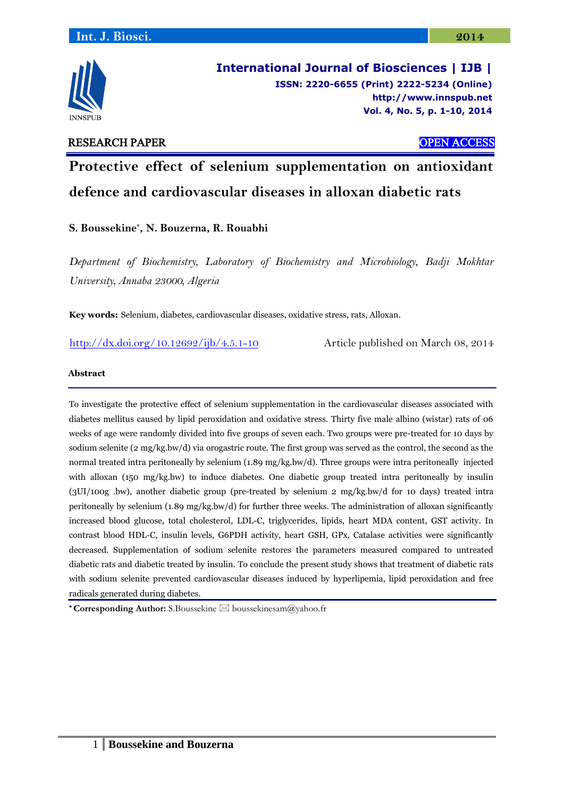

**International Journal of Biosciences | IJB | ISSN: 2220-6655 (Print) 2222-5234 (Online) [http://www.](http://www/)innspub.net Vol. 4, No. 5, p. 1-10, 2014**

# RESEARCH PAPER OPEN ACCESS

# **Protective effect of selenium supplementation on antioxidant defence and cardiovascular diseases in alloxan diabetic rats**

**S. Boussekine\* , N. Bouzerna, R. Rouabhi**

*Department of Biochemistry, Laboratory of Biochemistry and Microbiology, Badji Mokhtar University, Annaba 23000, Algeria*

**Key words:** Selenium, diabetes, cardiovascular diseases, oxidative stress, rats, Alloxan.

<http://dx.doi.org/10.12692/ijb/4.5.1-10> Article published on March 08, 2014

### **Abstract**

To investigate the protective effect of selenium supplementation in the cardiovascular diseases associated with diabetes mellitus caused by lipid peroxidation and oxidative stress. Thirty five male albino (wistar) rats of 06 weeks of age were randomly divided into five groups of seven each. Two groups were pre-treated for 10 days by sodium selenite (2 mg/kg.bw/d) via orogastric route. The first group was served as the control, the second as the normal treated intra peritoneally by selenium (1.89 mg/kg.bw/d). Three groups were intra peritoneally injected with alloxan (150 mg/kg.bw) to induce diabetes. One diabetic group treated intra peritoneally by insulin (3UI/100g .bw), another diabetic group (pre-treated by selenium 2 mg/kg.bw/d for 10 days) treated intra peritoneally by selenium (1.89 mg/kg.bw/d) for further three weeks. The administration of alloxan significantly increased blood glucose, total cholesterol, LDL-C, triglycerides, lipids, heart MDA content, GST activity. In contrast blood HDL-C, insulin levels, G6PDH activity, heart GSH, GPx, Catalase activities were significantly decreased. Supplementation of sodium selenite restores the parameters measured compared to untreated diabetic rats and diabetic treated by insulin. To conclude the present study shows that treatment of diabetic rats with sodium selenite prevented cardiovascular diseases induced by hyperlipemia, lipid peroxidation and free radicals generated during diabetes.

**\* Corresponding Author:** S.Boussekine ⊠ boussekinesam@yahoo.fr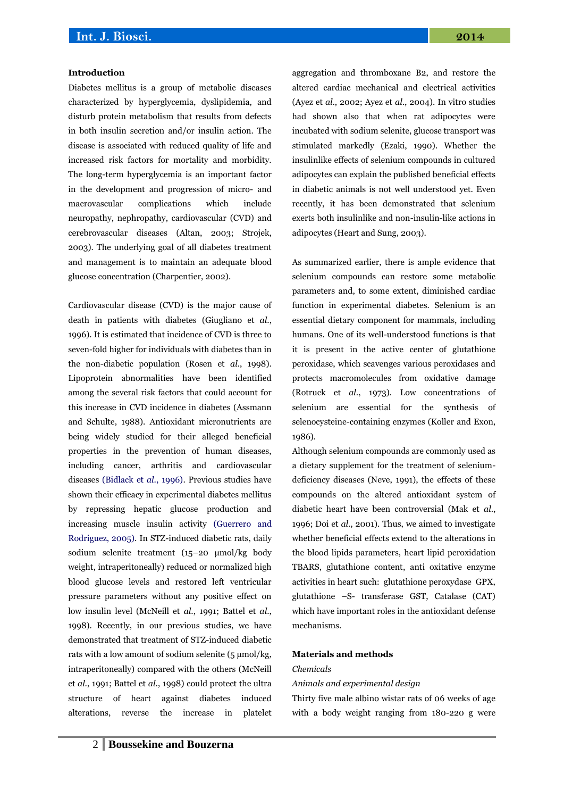#### **Introduction**

Diabetes mellitus is a group of metabolic diseases characterized by hyperglycemia, dyslipidemia, and disturb protein metabolism that results from defects in both insulin secretion and/or insulin action. The disease is associated with reduced quality of life and increased risk factors for mortality and morbidity. The long-term hyperglycemia is an important factor in the development and progression of micro- and macrovascular complications which include neuropathy, nephropathy, cardiovascular (CVD) and cerebrovascular diseases (Altan, 2003; Strojek, 2003). The underlying goal of all diabetes treatment and management is to maintain an adequate blood glucose concentration (Charpentier, 2002).

Cardiovascular disease (CVD) is the major cause of death in patients with diabetes (Giugliano et *al*., 1996). It is estimated that incidence of CVD is three to seven-fold higher for individuals with diabetes than in the non-diabetic population (Rosen et *al*., 1998). Lipoprotein abnormalities have been identified among the several risk factors that could account for this increase in CVD incidence in diabetes (Assmann and Schulte, 1988). Antioxidant micronutrients are being widely studied for their alleged beneficial properties in the prevention of human diseases, including cancer, arthritis and cardiovascular diseases (Bidlack et *al*., 1996). Previous studies have shown their efficacy in experimental diabetes mellitus by repressing hepatic glucose production and increasing muscle insulin activity (Guerrero and Rodriguez, 2005). In STZ-induced diabetic rats, daily sodium selenite treatment (15–20 μmol/kg body weight, intraperitoneally) reduced or normalized high blood glucose levels and restored left ventricular pressure parameters without any positive effect on low insulin level (McNeill et *al*., 1991; Battel et *al*., 1998). Recently, in our previous studies, we have demonstrated that treatment of STZ-induced diabetic rats with a low amount of sodium selenite  $(5 \mu \text{mol/kg})$ , intraperitoneally) compared with the others (McNeill et *al*., 1991; Battel et *al*., 1998) could protect the ultra structure of heart against diabetes induced alterations, reverse the increase in platelet aggregation and thromboxane B2, and restore the altered cardiac mechanical and electrical activities (Ayez et *al*., 2002; Ayez et *al*., 2004). In vitro studies had shown also that when rat adipocytes were incubated with sodium selenite, glucose transport was stimulated markedly (Ezaki, 1990). Whether the insulinlike effects of selenium compounds in cultured adipocytes can explain the published beneficial effects in diabetic animals is not well understood yet. Even recently, it has been demonstrated that selenium exerts both insulinlike and non-insulin-like actions in adipocytes (Heart and Sung, 2003).

As summarized earlier, there is ample evidence that selenium compounds can restore some metabolic parameters and, to some extent, diminished cardiac function in experimental diabetes. Selenium is an essential dietary component for mammals, including humans. One of its well-understood functions is that it is present in the active center of glutathione peroxidase, which scavenges various peroxidases and protects macromolecules from oxidative damage (Rotruck et *al*., 1973). Low concentrations of selenium are essential for the synthesis of selenocysteine-containing enzymes (Koller and Exon, 1986).

Although selenium compounds are commonly used as a dietary supplement for the treatment of seleniumdeficiency diseases (Neve, 1991), the effects of these compounds on the altered antioxidant system of diabetic heart have been controversial (Mak et *al*., 1996; Doi et *al*., 2001). Thus, we aimed to investigate whether beneficial effects extend to the alterations in the blood lipids parameters, heart lipid peroxidation TBARS, glutathione content, anti oxitative enzyme activities in heart such: glutathione peroxydase GPX, glutathione –S- transferase GST, Catalase (CAT) which have important roles in the antioxidant defense mechanisms.

#### **Materials and methods**

#### *Chemicals*

#### *Animals and experimental design*

Thirty five male albino wistar rats of 06 weeks of age with a body weight ranging from 180-220 g were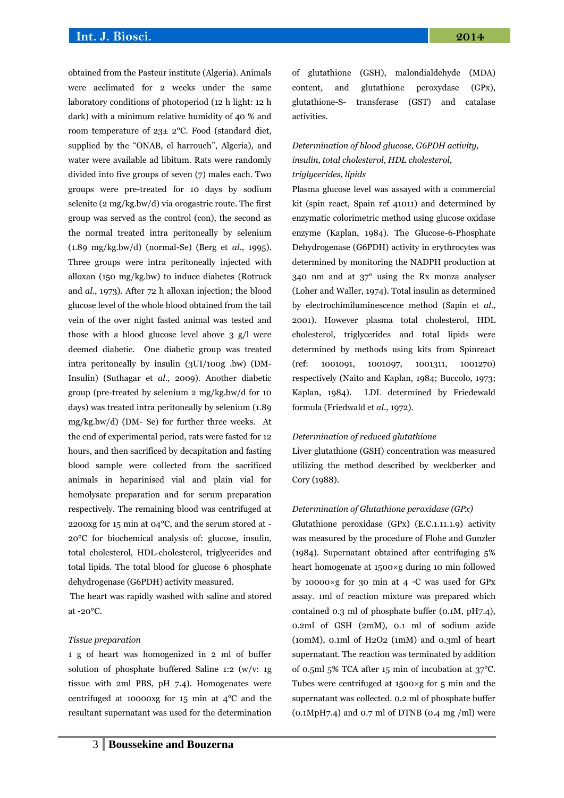# **Int. J. Biosci. 2014**

obtained from the Pasteur institute (Algeria). Animals were acclimated for 2 weeks under the same laboratory conditions of photoperiod (12 h light: 12 h dark) with a minimum relative humidity of 40 % and room temperature of 23± 2°C. Food (standard diet, supplied by the "ONAB, el harrouch", Algeria), and water were available ad libitum. Rats were randomly divided into five groups of seven (7) males each. Two groups were pre-treated for 10 days by sodium selenite (2 mg/kg.bw/d) via orogastric route. The first group was served as the control (con), the second as the normal treated intra peritoneally by selenium (1.89 mg/kg.bw/d) (normal-Se) (Berg et *al*., 1995). Three groups were intra peritoneally injected with alloxan (150 mg/kg.bw) to induce diabetes (Rotruck and *al*., 1973). After 72 h alloxan injection; the blood glucose level of the whole blood obtained from the tail vein of the over night fasted animal was tested and those with a blood glucose level above 3 g/l were deemed diabetic. One diabetic group was treated intra peritoneally by insulin (3UI/100g .bw) (DM-Insulin) (Suthagar et *al*., 2009). Another diabetic group (pre-treated by selenium 2 mg/kg.bw/d for 10 days) was treated intra peritoneally by selenium (1.89 mg/kg.bw/d) (DM- Se) for further three weeks. At the end of experimental period, rats were fasted for 12 hours, and then sacrificed by decapitation and fasting blood sample were collected from the sacrificed animals in heparinised vial and plain vial for hemolysate preparation and for serum preparation respectively. The remaining blood was centrifuged at 2200xg for 15 min at 04°C, and the serum stored at - 20°C for biochemical analysis of: glucose, insulin, total cholesterol, HDL-cholesterol, triglycerides and total lipids. The total blood for glucose 6 phosphate dehydrogenase (G6PDH) activity measured.

The heart was rapidly washed with saline and stored at -20°C.

#### *Tissue preparation*

1 g of heart was homogenized in 2 ml of buffer solution of phosphate buffered Saline 1:2 (w/v: 1g tissue with 2ml PBS, pH 7.4). Homogenates were centrifuged at 10000xg for 15 min at 4°C and the resultant supernatant was used for the determination of glutathione (GSH), malondialdehyde (MDA) content, and glutathione peroxydase (GPx), glutathione-S- transferase (GST) and catalase activities.

# *Determination of blood glucose, G6PDH activity, insulin, total cholesterol, HDL cholesterol, triglycerides, lipids*

Plasma glucose level was assayed with a commercial kit (spin react, Spain ref 41011) and determined by enzymatic colorimetric method using glucose oxidase enzyme (Kaplan, 1984). The Glucose-6-Phosphate Dehydrogenase (G6PDH) activity in erythrocytes was determined by monitoring the NADPH production at 340 nm and at 37° using the Rx monza analyser (Loher and Waller, 1974). Total insulin as determined by electrochimiluminescence method (Sapin et *al*., 2001). However plasma total cholesterol, HDL cholesterol, triglycerides and total lipids were determined by methods using kits from Spinreact (ref: 1001091, 1001097, 1001311, 1001270) respectively (Naito and Kaplan, 1984; Buccolo, 1973; Kaplan, 1984). LDL determined by Friedewald formula (Friedwald et *al*., 1972).

#### *Determination of reduced glutathione*

Liver glutathione (GSH) concentration was measured utilizing the method described by weckberker and Cory (1988).

#### *Determination of Glutathione peroxidase (GPx)*

Glutathione peroxidase (GPx) (E.C.1.11.1.9) activity was measured by the procedure of Flohe and Gunzler (1984). Supernatant obtained after centrifuging 5% heart homogenate at 1500×g during 10 min followed by 10000×g for 30 min at 4 ◦C was used for GPx assay. 1ml of reaction mixture was prepared which contained 0.3 ml of phosphate buffer (0.1M, pH7.4), 0.2ml of GSH (2mM), 0.1 ml of sodium azide (10mM), 0.1ml of H2O2 (1mM) and 0.3ml of heart supernatant. The reaction was terminated by addition of 0.5ml 5% TCA after 15 min of incubation at 37°C. Tubes were centrifuged at  $1500 \times g$  for 5 min and the supernatant was collected. 0.2 ml of phosphate buffer  $(0.1M<sub>D</sub>H<sub>7.4</sub>)$  and 0.7 ml of DTNB  $(0.4 \text{ mg } / \text{ml})$  were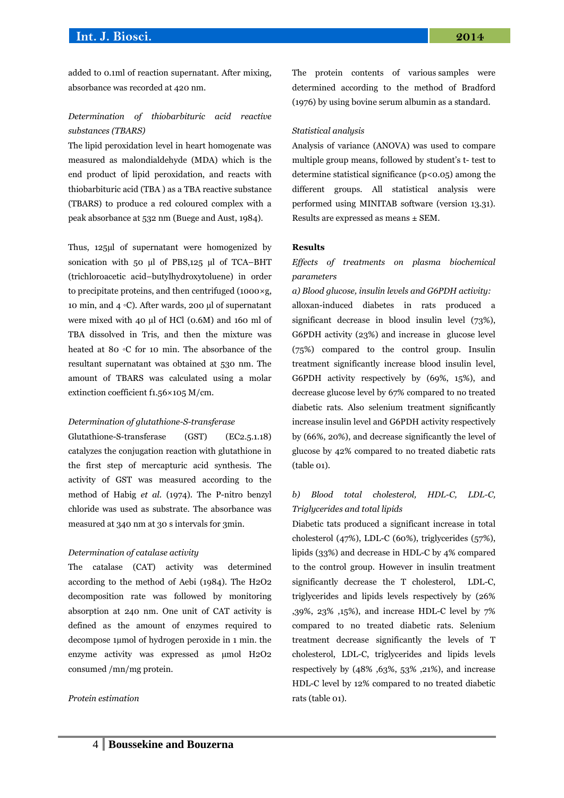added to 0.1ml of reaction supernatant. After mixing, absorbance was recorded at 420 nm.

# *Determination of thiobarbituric acid reactive substances (TBARS)*

The lipid peroxidation level in heart homogenate was measured as malondialdehyde (MDA) which is the end product of lipid peroxidation, and reacts with thiobarbituric acid (TBA ) as a TBA reactive substance (TBARS) to produce a red coloured complex with a peak absorbance at 532 nm (Buege and Aust, 1984).

Thus, 125µl of supernatant were homogenized by sonication with 50 µl of PBS,125 µl of TCA–BHT (trichloroacetic acid–butylhydroxytoluene) in order to precipitate proteins, and then centrifuged (1000×g, 10 min, and 4 ◦C). After wards, 200 µl of supernatant were mixed with 40 µl of HCl (0.6M) and 160 ml of TBA dissolved in Tris, and then the mixture was heated at 80 ◦C for 10 min. The absorbance of the resultant supernatant was obtained at 530 nm. The amount of TBARS was calculated using a molar extinction coefficient f1.56×105 M/cm.

#### *Determination of glutathione-S-transferase*

Glutathione-S-transferase (GST) (EC2.5.1.18) catalyzes the conjugation reaction with glutathione in the first step of mercapturic acid synthesis. The activity of GST was measured according to the method of Habig *et al*. (1974). The P-nitro benzyl chloride was used as substrate. The absorbance was measured at 340 nm at 30 s intervals for 3min.

#### *Determination of catalase activity*

The catalase (CAT) activity was determined according to the method of Aebi (1984). The H2O2 decomposition rate was followed by monitoring absorption at 240 nm. One unit of CAT activity is defined as the amount of enzymes required to decompose 1µmol of hydrogen peroxide in 1 min. the enzyme activity was expressed as umol H2O2 consumed /mn/mg protein.

#### *Protein estimation*

The protein contents of various samples were determined according to the method of Bradford (1976) by using bovine serum albumin as a standard.

#### *Statistical analysis*

Analysis of variance (ANOVA) was used to compare multiple group means, followed by student's t- test to determine statistical significance  $(p<0.05)$  among the different groups. All statistical analysis were performed using MINITAB software (version 13.31). Results are expressed as means ± SEM.

#### **Results**

(table 01).

### *Effects of treatments on plasma biochemical parameters*

# *a) Blood glucose, insulin levels and G6PDH activity:* alloxan-induced diabetes in rats produced a significant decrease in blood insulin level (73%), G6PDH activity (23%) and increase in glucose level (75%) compared to the control group. Insulin treatment significantly increase blood insulin level, G6PDH activity respectively by (69%, 15%), and decrease glucose level by 67% compared to no treated diabetic rats. Also selenium treatment significantly increase insulin level and G6PDH activity respectively by (66%, 20%), and decrease significantly the level of glucose by 42% compared to no treated diabetic rats

# *b) Blood total cholesterol, HDL-C, LDL-C, Triglycerides and total lipids*

Diabetic tats produced a significant increase in total cholesterol (47%), LDL-C (60%), triglycerides (57%), lipids (33%) and decrease in HDL-C by 4% compared to the control group. However in insulin treatment significantly decrease the T cholesterol, LDL-C, triglycerides and lipids levels respectively by (26% ,39%, 23% ,15%), and increase HDL-C level by 7% compared to no treated diabetic rats. Selenium treatment decrease significantly the levels of T cholesterol, LDL-C, triglycerides and lipids levels respectively by (48% ,63%, 53% ,21%), and increase HDL-C level by 12% compared to no treated diabetic rats (table 01).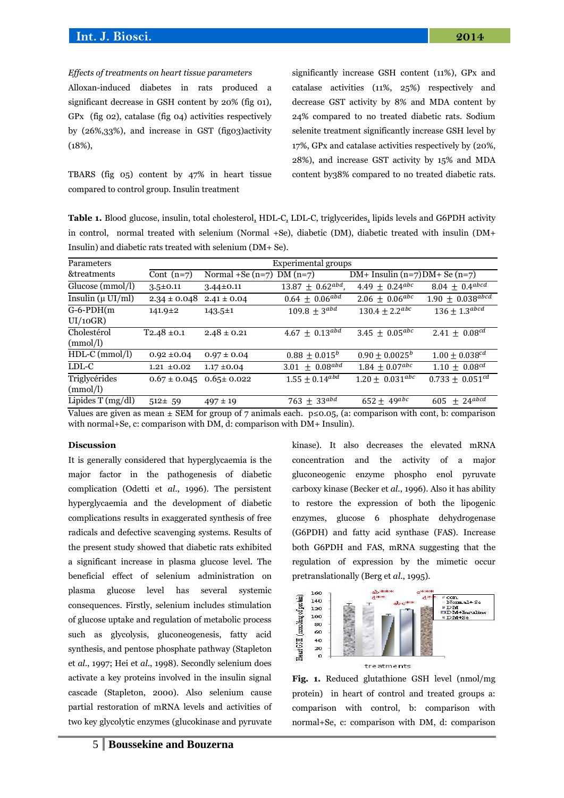#### *Effects of treatments on heart tissue parameters*

Alloxan-induced diabetes in rats produced a significant decrease in GSH content by 20% (fig 01), GPx (fig 02), catalase (fig 04) activities respectively by (26%,33%), and increase in GST (fig03)activity (18%),

TBARS (fig 05) content by 47% in heart tissue compared to control group. Insulin treatment

significantly increase GSH content (11%), GPx and catalase activities (11%, 25%) respectively and decrease GST activity by 8% and MDA content by 24% compared to no treated diabetic rats. Sodium selenite treatment significantly increase GSH level by 17%, GPx and catalase activities respectively by (20%, 28%), and increase GST activity by 15% and MDA content by38% compared to no treated diabetic rats.

**Table 1.** Blood glucose, insulin, total cholesterol, HDL-C, LDL-C, triglycerides, lipids levels and G6PDH activity in control, normal treated with selenium (Normal +Se), diabetic (DM), diabetic treated with insulin (DM+ Insulin) and diabetic rats treated with selenium (DM+ Se).

| Parameters                    |                  | Experimental groups |                             |                                     |                         |  |  |
|-------------------------------|------------------|---------------------|-----------------------------|-------------------------------------|-------------------------|--|--|
| &treatments                   | Cont $(n=7)$     | Normal $+$ Se (n=7) | $DM(n=7)$                   | $DM+$ Insulin $(n=7)DM+$ Se $(n=7)$ |                         |  |  |
| Glucose (mmol/l)              | $3.5 \pm 0.11$   | $3.44 \pm 0.11$     | $13.87 \pm 0.62^{abd}$      | 4.49 $\pm$ 0.24 <sup>abc</sup>      | $8.04 \pm 0.4^{abcd}$   |  |  |
| Insulin $(\mu \text{ UI/ml})$ | $2.34 \pm 0.048$ | $2.41 \pm 0.04$     | $0.64 \pm 0.06^{abd}$       | $2.06 \pm 0.06^{abc}$               | $1.90 \pm 0.038^{abcd}$ |  |  |
| $G-6-PDH(m)$                  | $141.9 \pm 2$    | $143.5 \pm 1$       | $109.8 \pm 3^{abd}$         | $130.4 \pm 2.2^{abc}$               | $136 \pm 1.3^{abcd}$    |  |  |
| UI/10GR)                      |                  |                     |                             |                                     |                         |  |  |
| Cholestérol                   | $T2.48 \pm 0.1$  | $2.48 \pm 0.21$     | $4.67 \pm 0.13^{abd}$       | 3.45 $\pm$ 0.05 <sup>abc</sup>      | $2.41 \pm 0.08^{cd}$    |  |  |
| (mmol/l)                      |                  |                     |                             |                                     |                         |  |  |
| $HDL-C$ (mmol/l)              | $0.92 \pm 0.04$  | $0.97 \pm 0.04$     | $0.88 \pm 0.015^b$          | $0.90 \pm 0.0025^b$                 | $1.00 \pm 0.038^{cd}$   |  |  |
| LDL-C                         | $1.21 \pm 0.02$  | $1.17 \pm 0.04$     | $3.01 \pm 0.08^{abd}$       | $1.84 \pm 0.07^{abc}$               | $1.10 \pm 0.08^{cd}$    |  |  |
| Triglycérides                 | $0.67 \pm 0.045$ | $0.65 \pm 0.022$    | $1.55 \pm 0.14^{abd}$       | $1.20 \pm 0.031^{abc}$              | $0.733 \pm 0.051^{cd}$  |  |  |
| (mmol/l)                      |                  |                     |                             |                                     |                         |  |  |
| Lipides $T(mg/dl)$            | $512 \pm 59$     | $497 \pm 19$        | 763 $\pm$ 33 <sup>abd</sup> | $652 \pm 49^{abc}$                  | $605 \pm 24^{abcd}$     |  |  |
|                               |                  |                     |                             |                                     |                         |  |  |

Values are given as mean  $\pm$  SEM for group of 7 animals each. p ≤0.05, (a: comparison with cont, b: comparison with normal+Se, c: comparison with DM, d: comparison with DM+ Insulin).

#### **Discussion**

It is generally considered that hyperglycaemia is the major factor in the pathogenesis of diabetic complication (Odetti et *al*., 1996). The persistent hyperglycaemia and the development of diabetic complications results in exaggerated synthesis of free radicals and defective scavenging systems. Results of the present study showed that diabetic rats exhibited a significant increase in plasma glucose level. The beneficial effect of selenium administration on plasma glucose level has several systemic consequences. Firstly, selenium includes stimulation of glucose uptake and regulation of metabolic process such as glycolysis, gluconeogenesis, fatty acid synthesis, and pentose phosphate pathway (Stapleton et *al*., 1997; Hei et *al*., 1998). Secondly selenium does activate a key proteins involved in the insulin signal cascade (Stapleton, 2000). Also selenium cause partial restoration of mRNA levels and activities of two key glycolytic enzymes (glucokinase and pyruvate

 $\alpha$ 

kinase). It also decreases the elevated mRNA concentration and the activity of a major gluconeogenic enzyme phospho enol pyruvate carboxy kinase (Becker et *al*., 1996). Also it has ability to restore the expression of both the lipogenic enzymes, glucose 6 phosphate dehydrogenase (G6PDH) and fatty acid synthase (FAS). Increase both G6PDH and FAS, mRNA suggesting that the regulation of expression by the mimetic occur pretranslationally (Berg et *al*., 1995).



**Fig. 1.** Reduced glutathione GSH level (nmol/mg protein) in heart of control and treated groups a: comparison with control, b: comparison with normal+Se, c: comparison with DM, d: comparison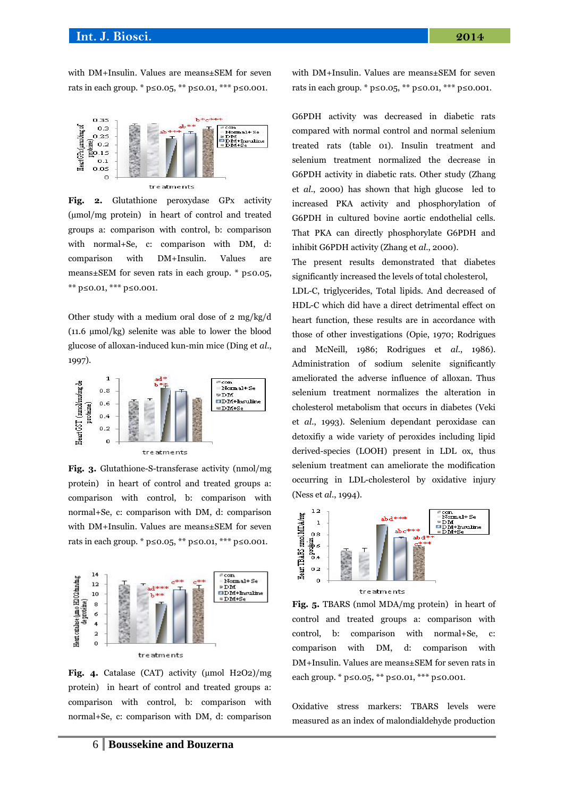with DM+Insulin. Values are means±SEM for seven rats in each group. \*  $p ≤ 0.05$ , \*\*  $p ≤ 0.01$ , \*\*\*  $p ≤ 0.001$ .



**Fig. 2.** Glutathione peroxydase GPx activity (µmol/mg protein) in heart of control and treated groups a: comparison with control, b: comparison with normal+Se, c: comparison with DM, d: comparison with DM+Insulin. Values are means±SEM for seven rats in each group. \* p≤0.05, \*\* p≤0.01, \*\*\* p≤0.001.

Other study with a medium oral dose of 2 mg/kg/d (11.6 µmol/kg) selenite was able to lower the blood glucose of alloxan-induced kun-min mice (Ding et *al*., 1997).



**Fig. 3.** Glutathione-S-transferase activity (nmol/mg protein) in heart of control and treated groups a: comparison with control, b: comparison with normal+Se, c: comparison with DM, d: comparison with DM+Insulin. Values are means±SEM for seven rats in each group. \* p≤0.05, \*\* p≤0.01, \*\*\* p≤0.001.



**Fig. 4.** Catalase (CAT) activity (µmol H2O2)/mg protein) in heart of control and treated groups a: comparison with control, b: comparison with normal+Se, c: comparison with DM, d: comparison

with DM+Insulin. Values are means±SEM for seven rats in each group. \*  $p ≤ 0.05$ , \*\*  $p ≤ 0.01$ , \*\*\*  $p ≤ 0.001$ .

G6PDH activity was decreased in diabetic rats compared with normal control and normal selenium treated rats (table 01). Insulin treatment and selenium treatment normalized the decrease in G6PDH activity in diabetic rats. Other study (Zhang et *al*., 2000) has shown that high glucose led to increased PKA activity and phosphorylation of G6PDH in cultured bovine aortic endothelial cells. That PKA can directly phosphorylate G6PDH and inhibit G6PDH activity (Zhang et *al*., 2000).

The present results demonstrated that diabetes significantly increased the levels of total cholesterol,

LDL-C, triglycerides, Total lipids. And decreased of HDL-C which did have a direct detrimental effect on heart function, these results are in accordance with those of other investigations (Opie, 1970; Rodrigues and McNeill, 1986; Rodrigues et *al*., 1986). Administration of sodium selenite significantly ameliorated the adverse influence of alloxan. Thus selenium treatment normalizes the alteration in cholesterol metabolism that occurs in diabetes (Veki et *al*., 1993). Selenium dependant peroxidase can detoxifiy a wide variety of peroxides including lipid derived-species (LOOH) present in LDL ox, thus selenium treatment can ameliorate the modification occurring in LDL-cholesterol by oxidative injury (Ness et *al*., 1994).



**Fig. 5.** TBARS (nmol MDA/mg protein) in heart of control and treated groups a: comparison with control, b: comparison with normal+Se, c: comparison with DM, d: comparison with DM+Insulin. Values are means±SEM for seven rats in each group. \* p≤0.05, \*\* p≤0.01, \*\*\* p≤0.001.

Oxidative stress markers: TBARS levels were measured as an index of malondialdehyde production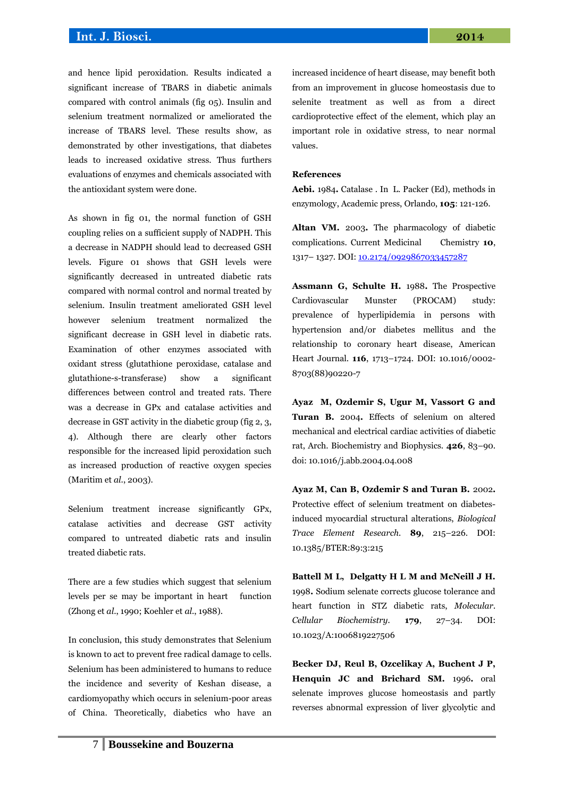and hence lipid peroxidation. Results indicated a significant increase of TBARS in diabetic animals compared with control animals (fig 05). Insulin and selenium treatment normalized or ameliorated the increase of TBARS level. These results show, as demonstrated by other investigations, that diabetes leads to increased oxidative stress. Thus furthers evaluations of enzymes and chemicals associated with the antioxidant system were done.

As shown in fig 01, the normal function of GSH coupling relies on a sufficient supply of NADPH. This a decrease in NADPH should lead to decreased GSH levels. Figure 01 shows that GSH levels were significantly decreased in untreated diabetic rats compared with normal control and normal treated by selenium. Insulin treatment ameliorated GSH level however selenium treatment normalized the significant decrease in GSH level in diabetic rats. Examination of other enzymes associated with oxidant stress (glutathione peroxidase, catalase and glutathione-s-transferase) show a significant differences between control and treated rats. There was a decrease in GPx and catalase activities and decrease in GST activity in the diabetic group (fig 2, 3, 4). Although there are clearly other factors responsible for the increased lipid peroxidation such as increased production of reactive oxygen species (Maritim et *al*., 2003).

Selenium treatment increase significantly GPx, catalase activities and decrease GST activity compared to untreated diabetic rats and insulin treated diabetic rats.

There are a few studies which suggest that selenium levels per se may be important in heart function (Zhong et *al*., 1990; Koehler et *al*., 1988).

In conclusion, this study demonstrates that Selenium is known to act to prevent free radical damage to cells. Selenium has been administered to humans to reduce the incidence and severity of Keshan disease, a cardiomyopathy which occurs in selenium-poor areas of China. Theoretically, diabetics who have an increased incidence of heart disease, may benefit both from an improvement in glucose homeostasis due to selenite treatment as well as from a direct cardioprotective effect of the element, which play an important role in oxidative stress, to near normal values.

#### **References**

**Aebi.** 1984**.** Catalase . In L. Packer (Ed), methods in enzymology, Academic press, Orlando, **105**: 121-126.

**Altan VM.** 2003**.** The pharmacology of diabetic complications. Current Medicinal Chemistry **10**, 1317-1327. DOI[: 10.2174/0929867033457287](http://dx.doi.org/10.2174/0929867033457287)

**Assmann G, Schulte H.** 1988**.** The Prospective Cardiovascular Munster (PROCAM) study: prevalence of hyperlipidemia in persons with hypertension and/or diabetes mellitus and the relationship to coronary heart disease, American Heart Journal. **116**, 1713–1724. DOI: 10.1016/0002- 8703(88)90220-7

**Ayaz M, Ozdemir S, Ugur M, Vassort G and Turan B.** 2004**.** Effects of selenium on altered mechanical and electrical cardiac activities of diabetic rat, Arch. Biochemistry and Biophysics. **426**, 83–90. doi: 10.1016/j.abb.2004.04.008

**Ayaz M, Can B, Ozdemir S and Turan B.** 2002**.** Protective effect of selenium treatment on diabetesinduced myocardial structural alterations, *Biological Trace Element Research.* **89**, 215–226. DOI: 10.1385/BTER:89:3:215

**Battell M L, Delgatty H L M and McNeill J H.**  1998**.** Sodium selenate corrects glucose tolerance and heart function in STZ diabetic rats, *Molecular. Cellular Biochemistry.* **179**, 27–34. DOI: 10.1023/A:1006819227506

**Becker DJ, Reul B, Ozcelikay A, Buchent J P, Henquin JC and Brichard SM.** 1996**.** oral selenate improves glucose homeostasis and partly reverses abnormal expression of liver glycolytic and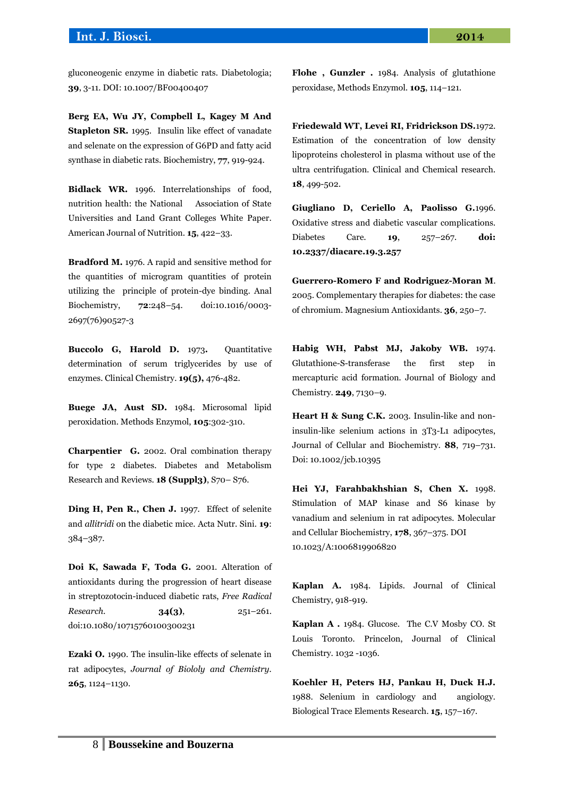gluconeogenic enzyme in diabetic rats. Diabetologia; **39**, 3-11. DOI: 10.1007/BF00400407

**Berg EA, Wu JY, Compbell L, Kagey M And Stapleton SR.** 1995. Insulin like effect of vanadate and selenate on the expression of G6PD and fatty acid synthase in diabetic rats. Biochemistry, **77**, 919-924.

**Bidlack WR.** 1996. Interrelationships of food, nutrition health: the National Association of State Universities and Land Grant Colleges White Paper. American Journal of Nutrition. **15**, 422–33.

**Bradford M.** 1976. A rapid and sensitive method for the quantities of microgram quantities of protein utilizing the principle of protein-dye binding. Anal Biochemistry, **72**:248–54. doi:10.1016/0003- 2697(76)90527-3

**Buccolo G, Harold D.** 1973**.** Quantitative determination of serum triglycerides by use of enzymes. Clinical Chemistry. **19(5),** 476-482.

**Buege JA, Aust SD.** 1984. Microsomal lipid peroxidation. Methods Enzymol, **105**:302-310.

**Charpentier G.** 2002. Oral combination therapy for type 2 diabetes. Diabetes and Metabolism Research and Reviews. **18 (Suppl3)**, S70– S76.

**Ding H, Pen R., Chen J.** 1997. Effect of selenite and *allitridi* on the diabetic mice. Acta Nutr. Sini. **19**: 384–387.

**Doi K, Sawada F, Toda G.** 2001. Alteration of antioxidants during the progression of heart disease in streptozotocin-induced diabetic rats, *Free Radical Research.* **34(3)**, 251–261. doi:10.1080/10715760100300231

**Ezaki O.** 1990. The insulin-like effects of selenate in rat adipocytes, *Journal of Biololy and Chemistry.*  **265**, 1124–1130.

**Flohe , Gunzler .** 1984. Analysis of glutathione peroxidase, Methods Enzymol. **105**, 114–121.

**Friedewald WT, Levei RI, Fridrickson DS.**1972. Estimation of the concentration of low density lipoproteins cholesterol in plasma without use of the ultra centrifugation. Clinical and Chemical research. **18**, 499-502.

**Giugliano D, Ceriello A, Paolisso G.**1996. Oxidative stress and diabetic vascular complications. Diabetes Care. **19**, 257–267. **doi: 10.2337/diacare.19.3.257**

**Guerrero-Romero F and Rodriguez-Moran M**. 2005. Complementary therapies for diabetes: the case of chromium. Magnesium Antioxidants. **36**, 250–7.

**Habig WH, Pabst MJ, Jakoby WB.** 1974. Glutathione-S-transferase the first step in mercapturic acid formation. Journal of Biology and Chemistry. **249**, 7130–9.

**Heart H & Sung C.K.** 2003. Insulin-like and noninsulin-like selenium actions in 3T3-L1 adipocytes, Journal of Cellular and Biochemistry. **88**, 719–731. Doi: 10.1002/jcb.10395

**Hei YJ, Farahbakhshian S, Chen X.** 1998. Stimulation of MAP kinase and S6 kinase by vanadium and selenium in rat adipocytes. Molecular and Cellular Biochemistry, **178**, 367–375. DOI 10.1023/A:1006819906820

**Kaplan A.** 1984. Lipids. Journal of Clinical Chemistry, 918-919.

**Kaplan A .** 1984. Glucose. The C.V Mosby CO. St Louis Toronto. Princelon, Journal of Clinical Chemistry. 1032 -1036.

**Koehler H, Peters HJ, Pankau H, Duck H.J.** 1988. Selenium in cardiology and angiology. Biological Trace Elements Research. **15**, 157–167.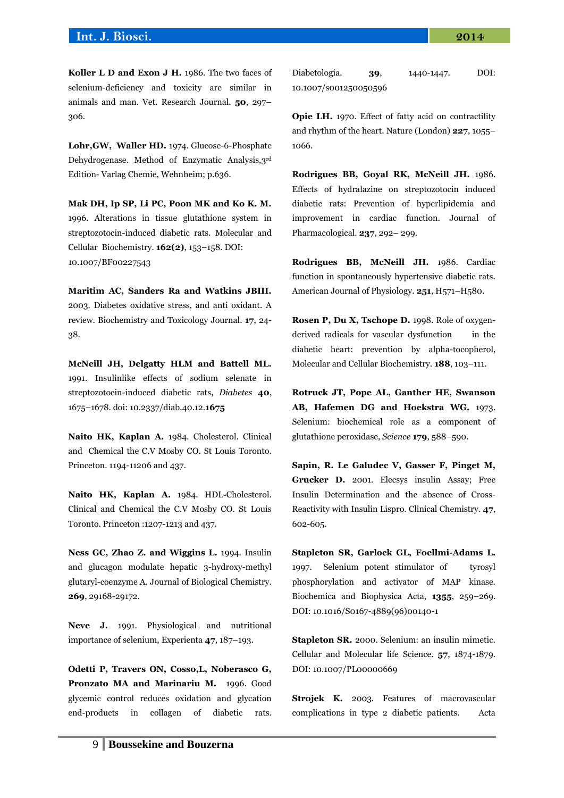## **Int. J. Biosci. 2014**

**Lohr,GW, Waller HD.** 1974. Glucose-6-Phosphate Dehydrogenase. Method of Enzymatic Analysis,3rd Edition- Varlag Chemie, Wehnheim; p.636.

**Mak DH, Ip SP, Li PC, Poon MK and Ko K. M.** 1996. Alterations in tissue glutathione system in streptozotocin-induced diabetic rats. Molecular and Cellular Biochemistry*.* **162(2)**, 153–158. DOI: 10.1007/BF00227543

**Maritim AC, Sanders Ra and Watkins JBIII.** 2003. Diabetes oxidative stress, and anti oxidant. A review. Biochemistry and Toxicology Journal. **17**, 24- 38.

**McNeill JH, Delgatty HLM and Battell ML.** 1991. Insulinlike effects of sodium selenate in streptozotocin-induced diabetic rats, *Diabetes* **40**, 1675–1678. doi: 10.2337/diab.40.12.**1675**

**Naito HK, Kaplan A.** 1984. Cholesterol. Clinical and Chemical the C.V Mosby CO. St Louis Toronto. Princeton. 1194-11206 and 437*.*

**Naito HK, Kaplan A.** 1984. HDL**-**Cholesterol*.*  Clinical and Chemical the C.V Mosby CO. St Louis Toronto. Princeton :1207-1213 and 437.

**Ness GC, Zhao Z. and Wiggins L.** 1994. Insulin and glucagon modulate hepatic 3-hydroxy-methyl glutaryl-coenzyme A. Journal of Biological Chemistry. **269**, 29168-29172.

**Neve J.** 1991. Physiological and nutritional importance of selenium, Experienta **47**, 187–193.

**Odetti P, Travers ON, Cosso,L, Noberasco G, Pronzato MA and Marinariu M.** 1996. Good glycemic control reduces oxidation and glycation end-products in collagen of diabetic rats.

| Diabetologia.         | 39, | 1440-1447. | DOI: |
|-----------------------|-----|------------|------|
| 10.1007/s001250050596 |     |            |      |

**Opie LH.** 1970. Effect of fatty acid on contractility and rhythm of the heart. Nature (London) **227**, 1055– 1066.

**Rodrigues BB, Goyal RK, McNeill JH.** 1986. Effects of hydralazine on streptozotocin induced diabetic rats: Prevention of hyperlipidemia and improvement in cardiac function. Journal of Pharmacological. **237**, 292– 299.

**Rodrigues BB, McNeill JH.** 1986. Cardiac function in spontaneously hypertensive diabetic rats. American Journal of Physiology. **251**, H571–H580.

**Rosen P, Du X, Tschope D.** 1998. Role of oxygenderived radicals for vascular dysfunction in the diabetic heart: prevention by alpha-tocopherol, Molecular and Cellular Biochemistry. **188**, 103–111.

**Rotruck JT, Pope AL, Ganther HE, Swanson AB, Hafemen DG and Hoekstra WG.** 1973. Selenium: biochemical role as a component of glutathione peroxidase, *Science* **179**, 588–590.

**Sapin, R. Le Galudec V, Gasser F, Pinget M, Grucker D.** 2001. Elecsys insulin Assay; Free Insulin Determination and the absence of Cross-Reactivity with Insulin Lispro. Clinical Chemistry. **47**, 602-605.

**Stapleton SR, Garlock GL, Foellmi-Adams L.** 1997. Selenium potent stimulator of tyrosyl phosphorylation and activator of MAP kinase. Biochemica and Biophysica Acta, **1355**, 259–269. DOI: 10.1016/S0167-4889(96)00140-1

**Stapleton SR.** 2000. Selenium: an insulin mimetic. Cellular and Molecular life Science. **57**, 1874-1879. DOI: 10.1007/PL00000669

**Strojek K.** 2003. Features of macrovascular complications in type 2 diabetic patients. Acta